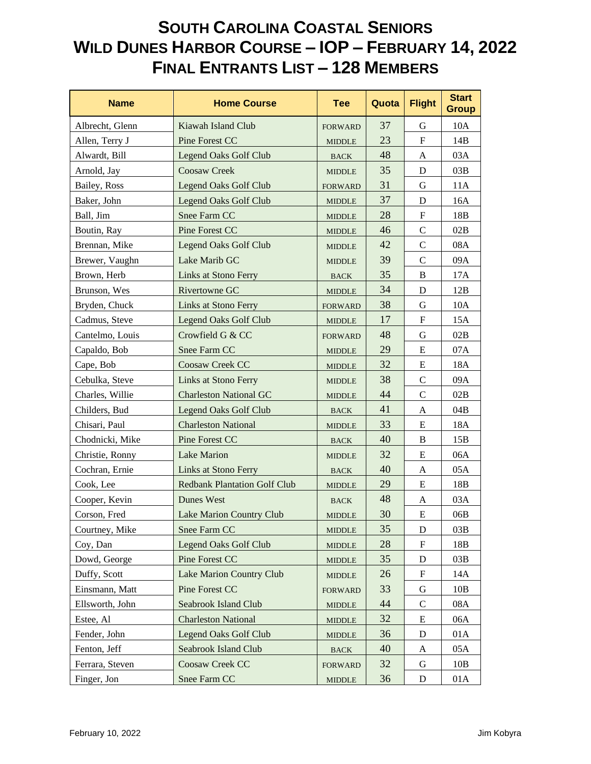| <b>Name</b>     | <b>Home Course</b>                  | <b>Tee</b>                     | Quota | <b>Flight</b> | <b>Start</b><br><b>Group</b> |
|-----------------|-------------------------------------|--------------------------------|-------|---------------|------------------------------|
| Albrecht, Glenn | Kiawah Island Club                  | <b>FORWARD</b>                 | 37    | G             | 10A                          |
| Allen, Terry J  | <b>Pine Forest CC</b>               | <b>MIDDLE</b>                  | 23    | $\mathbf F$   | 14B                          |
| Alwardt, Bill   | <b>Legend Oaks Golf Club</b>        | <b>BACK</b>                    | 48    | A             | 03A                          |
| Arnold, Jay     | <b>Coosaw Creek</b>                 | <b>MIDDLE</b>                  | 35    | D             | 03B                          |
| Bailey, Ross    | <b>Legend Oaks Golf Club</b>        | <b>FORWARD</b>                 | 31    | $\mathbf G$   | 11A                          |
| Baker, John     | <b>Legend Oaks Golf Club</b>        | <b>MIDDLE</b>                  | 37    | D             | 16A                          |
| Ball, Jim       | Snee Farm CC                        | <b>MIDDLE</b>                  | 28    | $\mathbf F$   | 18B                          |
| Boutin, Ray     | <b>Pine Forest CC</b>               | <b>MIDDLE</b>                  | 46    | $\mathsf{C}$  | 02B                          |
| Brennan, Mike   | <b>Legend Oaks Golf Club</b>        | <b>MIDDLE</b>                  | 42    | $\mathcal{C}$ | 08A                          |
| Brewer, Vaughn  | Lake Marib GC                       | <b>MIDDLE</b>                  | 39    | $\mathcal{C}$ | 09A                          |
| Brown, Herb     | Links at Stono Ferry                | <b>BACK</b>                    | 35    | B             | 17A                          |
| Brunson, Wes    | Rivertowne GC                       | <b>MIDDLE</b>                  | 34    | D             | 12B                          |
| Bryden, Chuck   | Links at Stono Ferry                | <b>FORWARD</b>                 | 38    | G             | 10A                          |
| Cadmus, Steve   | <b>Legend Oaks Golf Club</b>        | <b>MIDDLE</b>                  | 17    | $\mathbf F$   | 15A                          |
| Cantelmo, Louis | Crowfield G & CC                    | <b>FORWARD</b>                 | 48    | G             | 02B                          |
| Capaldo, Bob    | Snee Farm CC                        | <b>MIDDLE</b>                  | 29    | E             | 07A                          |
| Cape, Bob       | Coosaw Creek CC                     | <b>MIDDLE</b>                  | 32    | E             | 18A                          |
| Cebulka, Steve  | <b>Links at Stono Ferry</b>         | <b>MIDDLE</b>                  | 38    | $\mathbf C$   | 09A                          |
| Charles, Willie | <b>Charleston National GC</b>       | <b>MIDDLE</b>                  | 44    | $\mathcal{C}$ | 02B                          |
| Childers, Bud   | <b>Legend Oaks Golf Club</b>        | <b>BACK</b>                    | 41    | A             | 04B                          |
| Chisari, Paul   | <b>Charleston National</b>          | <b>MIDDLE</b>                  | 33    | E             | 18A                          |
| Chodnicki, Mike | Pine Forest CC                      | <b>BACK</b>                    | 40    | $\bf{B}$      | 15B                          |
| Christie, Ronny | <b>Lake Marion</b>                  | <b>MIDDLE</b>                  | 32    | E             | 06A                          |
| Cochran, Ernie  | Links at Stono Ferry                | <b>BACK</b>                    | 40    | A             | 05A                          |
| Cook, Lee       | <b>Redbank Plantation Golf Club</b> | <b>MIDDLE</b>                  | 29    | E             | 18B                          |
| Cooper, Kevin   | Dunes West                          | <b>BACK</b>                    | 48    | A             | 03A                          |
| Corson, Fred    | Lake Marion Country Club            | <b>MIDDLE</b>                  | 30    | E             | 06B                          |
| Courtney, Mike  | Snee Farm CC                        | <b>MIDDLE</b>                  | 35    | $\mathbf D$   | 03B                          |
| Coy, Dan        | <b>Legend Oaks Golf Club</b>        | <b>MIDDLE</b>                  | 28    | F             | 18B                          |
| Dowd, George    | Pine Forest CC                      | <b>MIDDLE</b>                  | 35    | D             | 03B                          |
| Duffy, Scott    | Lake Marion Country Club            | <b>MIDDLE</b>                  | 26    | ${\bf F}$     | 14A                          |
| Einsmann, Matt  | Pine Forest CC                      | <b>FORWARD</b>                 | 33    | G             | 10B                          |
| Ellsworth, John | Seabrook Island Club                | <b>MIDDLE</b>                  | 44    | $\mathcal{C}$ | 08A                          |
| Estee, Al       | <b>Charleston National</b>          | <b>MIDDLE</b>                  | 32    | E             | 06A                          |
| Fender, John    | <b>Legend Oaks Golf Club</b>        | <b>MIDDLE</b>                  | 36    | D             | 01A                          |
| Fenton, Jeff    | Seabrook Island Club                | <b>BACK</b>                    | 40    | A             | 05A                          |
| Ferrara, Steven | Coosaw Creek CC                     | <b>FORWARD</b>                 | 32    | G             | 10B                          |
| Finger, Jon     | Snee Farm CC                        | $\ensuremath{\mathsf{MIDDLE}}$ | 36    | $\mathbf D$   | 01A                          |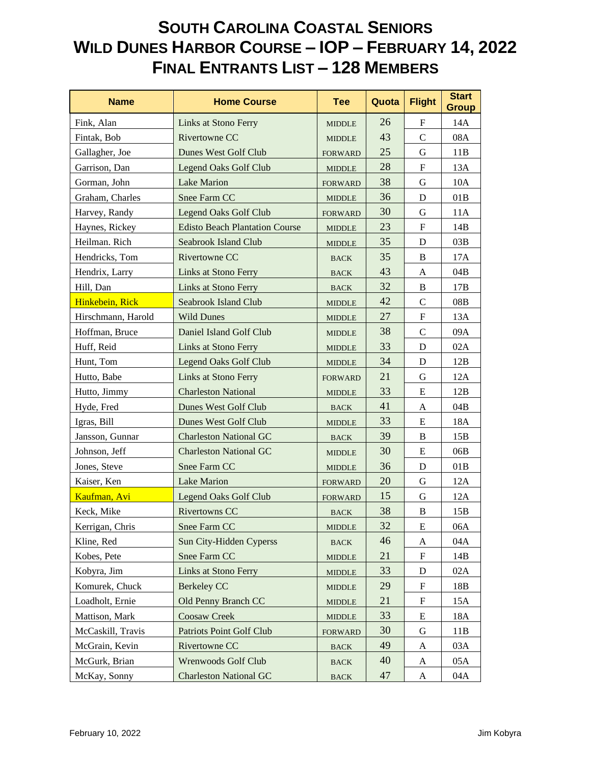| <b>Name</b>        | <b>Home Course</b>                    | <b>Tee</b>                      | Quota | <b>Flight</b> | <b>Start</b><br><b>Group</b> |
|--------------------|---------------------------------------|---------------------------------|-------|---------------|------------------------------|
| Fink, Alan         | Links at Stono Ferry                  | <b>MIDDLE</b>                   | 26    | F             | 14A                          |
| Fintak, Bob        | <b>Rivertowne CC</b>                  | <b>MIDDLE</b>                   | 43    | $\mathsf{C}$  | 08A                          |
| Gallagher, Joe     | Dunes West Golf Club                  | <b>FORWARD</b>                  | 25    | $\mathbf G$   | 11B                          |
| Garrison, Dan      | <b>Legend Oaks Golf Club</b>          | <b>MIDDLE</b>                   | 28    | $\mathbf F$   | 13A                          |
| Gorman, John       | <b>Lake Marion</b>                    | <b>FORWARD</b>                  | 38    | G             | 10A                          |
| Graham, Charles    | Snee Farm CC                          | <b>MIDDLE</b>                   | 36    | D             | 01B                          |
| Harvey, Randy      | <b>Legend Oaks Golf Club</b>          | <b>FORWARD</b>                  | 30    | G             | 11A                          |
| Haynes, Rickey     | <b>Edisto Beach Plantation Course</b> | <b>MIDDLE</b>                   | 23    | ${\bf F}$     | 14B                          |
| Heilman. Rich      | Seabrook Island Club                  | <b>MIDDLE</b>                   | 35    | D             | 03B                          |
| Hendricks, Tom     | Rivertowne CC                         | <b>BACK</b>                     | 35    | B             | 17A                          |
| Hendrix, Larry     | Links at Stono Ferry                  | <b>BACK</b>                     | 43    | A             | 04B                          |
| Hill, Dan          | Links at Stono Ferry                  | <b>BACK</b>                     | 32    | B             | 17B                          |
| Hinkebein, Rick    | Seabrook Island Club                  | <b>MIDDLE</b>                   | 42    | $\mathsf{C}$  | 08B                          |
| Hirschmann, Harold | <b>Wild Dunes</b>                     | <b>MIDDLE</b>                   | 27    | $\mathbf F$   | 13A                          |
| Hoffman, Bruce     | Daniel Island Golf Club               | <b>MIDDLE</b>                   | 38    | $\mathsf{C}$  | 09A                          |
| Huff, Reid         | Links at Stono Ferry                  | <b>MIDDLE</b>                   | 33    | D             | 02A                          |
| Hunt, Tom          | <b>Legend Oaks Golf Club</b>          | <b>MIDDLE</b>                   | 34    | D             | 12B                          |
| Hutto, Babe        | Links at Stono Ferry                  | <b>FORWARD</b>                  | 21    | G             | 12A                          |
| Hutto, Jimmy       | <b>Charleston National</b>            | <b>MIDDLE</b>                   | 33    | E             | 12B                          |
| Hyde, Fred         | Dunes West Golf Club                  | <b>BACK</b>                     | 41    | A             | 04B                          |
| Igras, Bill        | Dunes West Golf Club                  | <b>MIDDLE</b>                   | 33    | E             | 18A                          |
| Jansson, Gunnar    | <b>Charleston National GC</b>         | <b>BACK</b>                     | 39    | B             | 15B                          |
| Johnson, Jeff      | <b>Charleston National GC</b>         | <b>MIDDLE</b>                   | 30    | E             | 06B                          |
| Jones, Steve       | Snee Farm CC                          | <b>MIDDLE</b>                   | 36    | D             | 01B                          |
| Kaiser, Ken        | <b>Lake Marion</b>                    | <b>FORWARD</b>                  | 20    | $\mathbf G$   | 12A                          |
| Kaufman, Avi       | <b>Legend Oaks Golf Club</b>          | <b>FORWARD</b>                  | 15    | G             | 12A                          |
| Keck, Mike         | <b>Rivertowns CC</b>                  | <b>BACK</b>                     | 38    | B             | 15B                          |
| Kerrigan, Chris    | Snee Farm CC                          | <b>MIDDLE</b>                   | 32    | E             | 06A                          |
| Kline, Red         | Sun City-Hidden Cyperss               | $_{\mbox{\footnotesize{BACK}}}$ | 46    | A             | 04A                          |
| Kobes, Pete        | Snee Farm CC                          | <b>MIDDLE</b>                   | 21    | F             | 14B                          |
| Kobyra, Jim        | Links at Stono Ferry                  | <b>MIDDLE</b>                   | 33    | D             | 02A                          |
| Komurek, Chuck     | <b>Berkeley CC</b>                    | <b>MIDDLE</b>                   | 29    | F             | 18B                          |
| Loadholt, Ernie    | Old Penny Branch CC                   | $\ensuremath{\mathsf{MIDDLE}}$  | 21    | F             | 15A                          |
| Mattison, Mark     | <b>Coosaw Creek</b>                   | <b>MIDDLE</b>                   | 33    | E             | 18A                          |
| McCaskill, Travis  | <b>Patriots Point Golf Club</b>       | <b>FORWARD</b>                  | 30    | G             | 11B                          |
| McGrain, Kevin     | Rivertowne CC                         | <b>BACK</b>                     | 49    | A             | 03A                          |
| McGurk, Brian      | Wrenwoods Golf Club                   | <b>BACK</b>                     | 40    | A             | 05A                          |
| McKay, Sonny       | <b>Charleston National GC</b>         | <b>BACK</b>                     | 47    | A             | 04A                          |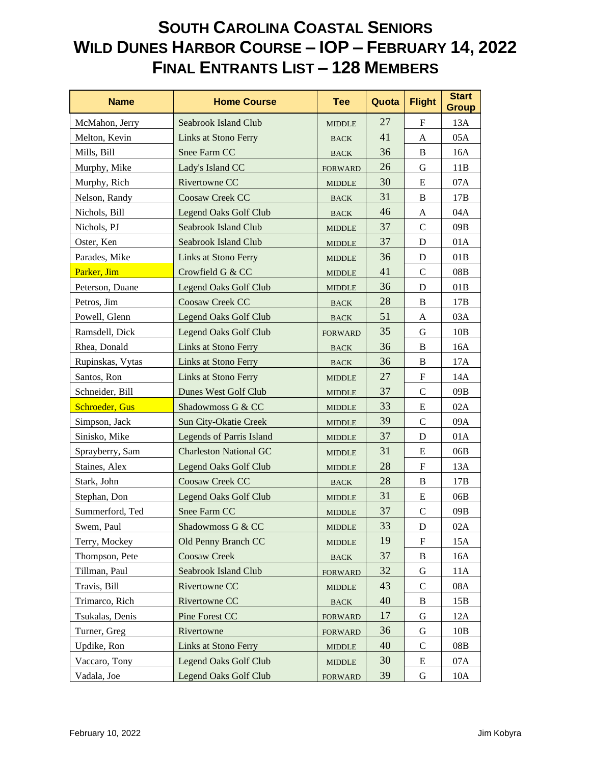| <b>Name</b>           | <b>Home Course</b>              | <b>Tee</b>                      | Quota | <b>Flight</b> | <b>Start</b><br><b>Group</b> |
|-----------------------|---------------------------------|---------------------------------|-------|---------------|------------------------------|
| McMahon, Jerry        | <b>Seabrook Island Club</b>     | <b>MIDDLE</b>                   | 27    | $\mathbf F$   | 13A                          |
| Melton, Kevin         | <b>Links at Stono Ferry</b>     | <b>BACK</b>                     | 41    | A             | 05A                          |
| Mills, Bill           | Snee Farm CC                    | <b>BACK</b>                     | 36    | B             | 16A                          |
| Murphy, Mike          | Lady's Island CC                | <b>FORWARD</b>                  | 26    | G             | 11B                          |
| Murphy, Rich          | Rivertowne CC                   | <b>MIDDLE</b>                   | 30    | E             | 07A                          |
| Nelson, Randy         | Coosaw Creek CC                 | <b>BACK</b>                     | 31    | B             | 17B                          |
| Nichols, Bill         | <b>Legend Oaks Golf Club</b>    | <b>BACK</b>                     | 46    | A             | 04A                          |
| Nichols, PJ           | Seabrook Island Club            | <b>MIDDLE</b>                   | 37    | $\mathcal{C}$ | 09B                          |
| Oster, Ken            | Seabrook Island Club            | <b>MIDDLE</b>                   | 37    | D             | 01A                          |
| Parades, Mike         | Links at Stono Ferry            | <b>MIDDLE</b>                   | 36    | D             | 01B                          |
| Parker, Jim           | Crowfield G & CC                | <b>MIDDLE</b>                   | 41    | $\mathcal{C}$ | 08B                          |
| Peterson, Duane       | <b>Legend Oaks Golf Club</b>    | <b>MIDDLE</b>                   | 36    | D             | 01B                          |
| Petros, Jim           | Coosaw Creek CC                 | <b>BACK</b>                     | 28    | B             | 17B                          |
| Powell, Glenn         | <b>Legend Oaks Golf Club</b>    | <b>BACK</b>                     | 51    | A             | 03A                          |
| Ramsdell, Dick        | <b>Legend Oaks Golf Club</b>    | <b>FORWARD</b>                  | 35    | G             | 10B                          |
| Rhea, Donald          | Links at Stono Ferry            | <b>BACK</b>                     | 36    | B             | 16A                          |
| Rupinskas, Vytas      | Links at Stono Ferry            | <b>BACK</b>                     | 36    | B             | 17A                          |
| Santos, Ron           | Links at Stono Ferry            | <b>MIDDLE</b>                   | 27    | $\mathbf F$   | 14A                          |
| Schneider, Bill       | Dunes West Golf Club            | <b>MIDDLE</b>                   | 37    | $\mathsf{C}$  | 09B                          |
| <b>Schroeder, Gus</b> | Shadowmoss G & CC               | <b>MIDDLE</b>                   | 33    | E             | 02A                          |
| Simpson, Jack         | Sun City-Okatie Creek           | <b>MIDDLE</b>                   | 39    | $\mathsf{C}$  | 09A                          |
| Sinisko, Mike         | <b>Legends of Parris Island</b> | <b>MIDDLE</b>                   | 37    | D             | 01A                          |
| Sprayberry, Sam       | <b>Charleston National GC</b>   | <b>MIDDLE</b>                   | 31    | E             | 06B                          |
| Staines, Alex         | <b>Legend Oaks Golf Club</b>    | <b>MIDDLE</b>                   | 28    | F             | 13A                          |
| Stark, John           | Coosaw Creek CC                 | <b>BACK</b>                     | 28    | B             | 17B                          |
| Stephan, Don          | <b>Legend Oaks Golf Club</b>    | <b>MIDDLE</b>                   | 31    | E             | 06B                          |
| Summerford, Ted       | Snee Farm CC                    | <b>MIDDLE</b>                   | 37    | $\mathsf C$   | 09B                          |
| Swem, Paul            | Shadowmoss G & CC               | <b>MIDDLE</b>                   | 33    | D             | 02A                          |
| Terry, Mockey         | Old Penny Branch CC             | <b>MIDDLE</b>                   | 19    | F             | 15A                          |
| Thompson, Pete        | <b>Coosaw Creek</b>             | $_{\mbox{\footnotesize{BACK}}}$ | 37    | $\, {\bf B}$  | 16A                          |
| Tillman, Paul         | <b>Seabrook Island Club</b>     | <b>FORWARD</b>                  | 32    | G             | 11A                          |
| Travis, Bill          | Rivertowne CC                   | <b>MIDDLE</b>                   | 43    | $\mathsf{C}$  | 08A                          |
| Trimarco, Rich        | Rivertowne CC                   | $_{\mbox{\footnotesize{BACK}}}$ | 40    | $\, {\bf B}$  | 15B                          |
| Tsukalas, Denis       | Pine Forest CC                  | <b>FORWARD</b>                  | 17    | G             | 12A                          |
| Turner, Greg          | Rivertowne                      | <b>FORWARD</b>                  | 36    | G             | 10B                          |
| Updike, Ron           | Links at Stono Ferry            | <b>MIDDLE</b>                   | 40    | C             | 08B                          |
| Vaccaro, Tony         | <b>Legend Oaks Golf Club</b>    | <b>MIDDLE</b>                   | 30    | E             | 07A                          |
| Vadala, Joe           | <b>Legend Oaks Golf Club</b>    | <b>FORWARD</b>                  | 39    | G             | 10A                          |